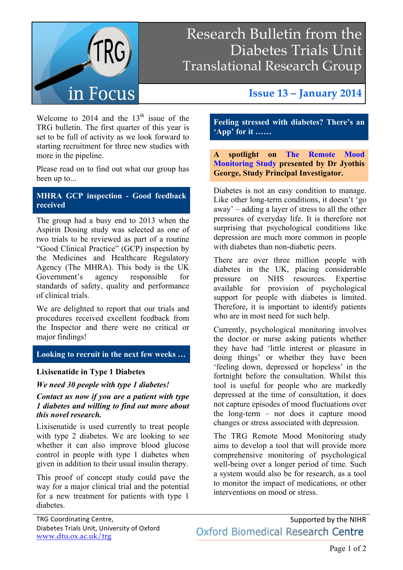

## Research Bulletin from the Diabetes Trials Unit Translational Research Group

Welcome to 2014 and the  $13<sup>th</sup>$  issue of the TRG bulletin. The first quarter of this year is set to be full of activity as we look forward to starting recruitment for three new studies with more in the pipeline.

Please read on to find out what our group has been up to...

#### **MHRA GCP inspection - Good feedback received**

The group had a busy end to 2013 when the Aspirin Dosing study was selected as one of two trials to be reviewed as part of a routine "Good Clinical Practice" (GCP) inspection by the Medicines and Healthcare Regulatory Agency (The MHRA). This body is the UK Government's agency responsible for standards of safety, quality and performance of clinical trials.

We are delighted to report that our trials and procedures received excellent feedback from the Inspector and there were no critical or major findings!

#### **Looking to recruit in the next few weeks …**

#### **Lixisenatide in Type 1 Diabetes**

#### *We need 30 people with type 1 diabetes!*

*Contact us now if you are a patient with type 1 diabetes and willing to find out more about this novel research.*

Lixisenatide is used currently to treat people with type 2 diabetes. We are looking to see whether it can also improve blood glucose control in people with type 1 diabetes when given in addition to their usual insulin therapy.

This proof of concept study could pave the way for a major clinical trial and the potential for a new treatment for patients with type 1 diabetes.

### **Issue 13 – January 2014**

**Feeling stressed with diabetes? There's an 'App' for it ……**

**A spotlight on The Remote Mood Monitoring Study presented by Dr Jyothis George, Study Principal Investigator.** 

Diabetes is not an easy condition to manage. Like other long-term conditions, it doesn't 'go away' – adding a layer of stress to all the other pressures of everyday life. It is therefore not surprising that psychological conditions like depression are much more common in people with diabetes than non-diabetic peers.

There are over three million people with diabetes in the UK, placing considerable pressure on NHS resources. Expertise available for provision of psychological support for people with diabetes is limited. Therefore, it is important to identify patients who are in most need for such help.

Currently, psychological monitoring involves the doctor or nurse asking patients whether they have had 'little interest or pleasure in doing things' or whether they have been 'feeling down, depressed or hopeless' in the fortnight before the consultation. Whilst this tool is useful for people who are markedly depressed at the time of consultation, it does not capture episodes of mood fluctuations over the long-term – nor does it capture mood changes or stress associated with depression.

The TRG Remote Mood Monitoring study aims to develop a tool that will provide more comprehensive monitoring of psychological well-being over a longer period of time. Such a system would also be for research, as a tool to monitor the impact of medications, or other interventions on mood or stress.